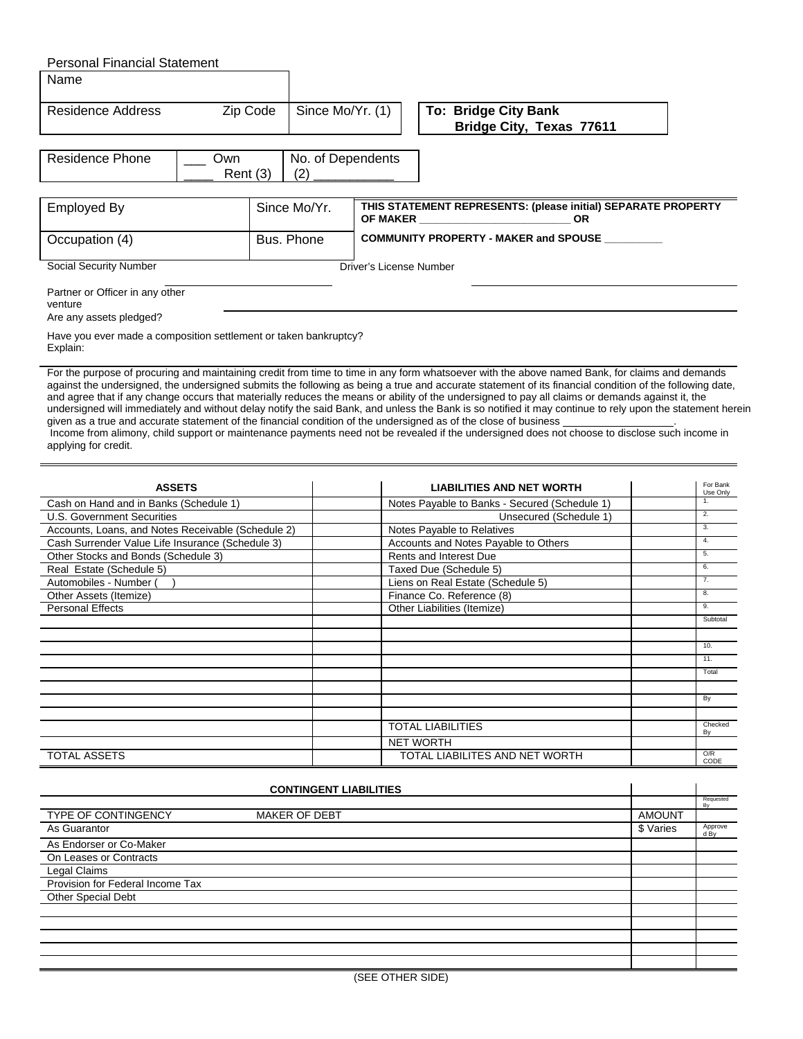| <b>Personal Financial Statement</b>                                                                              |         |                          |                                              |                                                                                                                                                                                                                                                                                                                                                                                                                                                                                                                                                                                                                                                                                                                                                                            |  |  |  |  |  |
|------------------------------------------------------------------------------------------------------------------|---------|--------------------------|----------------------------------------------|----------------------------------------------------------------------------------------------------------------------------------------------------------------------------------------------------------------------------------------------------------------------------------------------------------------------------------------------------------------------------------------------------------------------------------------------------------------------------------------------------------------------------------------------------------------------------------------------------------------------------------------------------------------------------------------------------------------------------------------------------------------------------|--|--|--|--|--|
| Name                                                                                                             |         |                          |                                              |                                                                                                                                                                                                                                                                                                                                                                                                                                                                                                                                                                                                                                                                                                                                                                            |  |  |  |  |  |
| Zip Code<br>Residence Address                                                                                    |         | Since Mo/Yr. (1)         |                                              | <b>To: Bridge City Bank</b><br>Bridge City, Texas 77611                                                                                                                                                                                                                                                                                                                                                                                                                                                                                                                                                                                                                                                                                                                    |  |  |  |  |  |
| Residence Phone<br>Own                                                                                           | Rent(3) | No. of Dependents<br>(2) |                                              |                                                                                                                                                                                                                                                                                                                                                                                                                                                                                                                                                                                                                                                                                                                                                                            |  |  |  |  |  |
| <b>Employed By</b>                                                                                               |         | Since Mo/Yr.             |                                              | THIS STATEMENT REPRESENTS: (please initial) SEPARATE PROPERTY<br><b>OF MAKER SECURE 2006</b><br><b>OR</b>                                                                                                                                                                                                                                                                                                                                                                                                                                                                                                                                                                                                                                                                  |  |  |  |  |  |
| Occupation (4)                                                                                                   |         | Bus, Phone               | <b>COMMUNITY PROPERTY - MAKER and SPOUSE</b> |                                                                                                                                                                                                                                                                                                                                                                                                                                                                                                                                                                                                                                                                                                                                                                            |  |  |  |  |  |
| <b>Social Security Number</b>                                                                                    |         |                          | Driver's License Number                      |                                                                                                                                                                                                                                                                                                                                                                                                                                                                                                                                                                                                                                                                                                                                                                            |  |  |  |  |  |
| Partner or Officer in any other<br>venture                                                                       |         |                          |                                              |                                                                                                                                                                                                                                                                                                                                                                                                                                                                                                                                                                                                                                                                                                                                                                            |  |  |  |  |  |
| Are any assets pledged?<br>Have you ever made a composition settlement or taken bankruptcy?<br>Explain:          |         |                          |                                              |                                                                                                                                                                                                                                                                                                                                                                                                                                                                                                                                                                                                                                                                                                                                                                            |  |  |  |  |  |
| given as a true and accurate statement of the financial condition of the undersigned as of the close of business |         |                          |                                              | For the purpose of procuring and maintaining credit from time to time in any form whatsoever with the above named Bank, for claims and demands<br>against the undersigned, the undersigned submits the following as being a true and accurate statement of its financial condition of the following date,<br>and agree that if any change occurs that materially reduces the means or ability of the undersigned to pay all claims or demands against it, the<br>undersigned will immediately and without delay notify the said Bank, and unless the Bank is so notified it may continue to rely upon the statement herein<br>Income from alimeny, objet august or mointenance nouments need not be revealed if the undersigned deep not choose to disclose quob income in |  |  |  |  |  |

 Income from alimony, child support or maintenance payments need not be revealed if the undersigned does not choose to disclose such income in applying for credit.

| <b>ASSETS</b>                                      | <b>LIABILITIES AND NET WORTH</b>              | For Bank<br>Use Only |
|----------------------------------------------------|-----------------------------------------------|----------------------|
| Cash on Hand and in Banks (Schedule 1)             | Notes Payable to Banks - Secured (Schedule 1) | 1.                   |
| <b>U.S. Government Securities</b>                  | Unsecured (Schedule 1)                        | 2.                   |
| Accounts, Loans, and Notes Receivable (Schedule 2) | Notes Payable to Relatives                    | 3.                   |
| Cash Surrender Value Life Insurance (Schedule 3)   | Accounts and Notes Payable to Others          | 4.                   |
| Other Stocks and Bonds (Schedule 3)                | Rents and Interest Due                        | 5.                   |
| Real Estate (Schedule 5)                           | Taxed Due (Schedule 5)                        | 6.                   |
| Automobiles - Number (                             | Liens on Real Estate (Schedule 5)             | 7.                   |
| Other Assets (Itemize)                             | Finance Co. Reference (8)                     | 8.                   |
| <b>Personal Effects</b>                            | Other Liabilities (Itemize)                   | 9.                   |
|                                                    |                                               | Subtotal             |
|                                                    |                                               |                      |
|                                                    |                                               | 10.                  |
|                                                    |                                               | 11.                  |
|                                                    |                                               | Total                |
|                                                    |                                               |                      |
|                                                    |                                               | By                   |
|                                                    |                                               |                      |
|                                                    | <b>TOTAL LIABILITIES</b>                      | Checked<br>Bv        |
|                                                    | <b>NET WORTH</b>                              |                      |
| <b>TOTAL ASSETS</b>                                | TOTAL LIABILITES AND NET WORTH                | O/R<br>CODE          |

|                                  |                      |               | Requested<br>By |
|----------------------------------|----------------------|---------------|-----------------|
| <b>TYPE OF CONTINGENCY</b>       | <b>MAKER OF DEBT</b> | <b>AMOUNT</b> |                 |
| As Guarantor                     |                      | \$ Varies     | Approve<br>d By |
| As Endorser or Co-Maker          |                      |               |                 |
| On Leases or Contracts           |                      |               |                 |
| Legal Claims                     |                      |               |                 |
| Provision for Federal Income Tax |                      |               |                 |
| Other Special Debt               |                      |               |                 |
|                                  |                      |               |                 |
|                                  |                      |               |                 |
|                                  |                      |               |                 |
|                                  |                      |               |                 |
|                                  |                      |               |                 |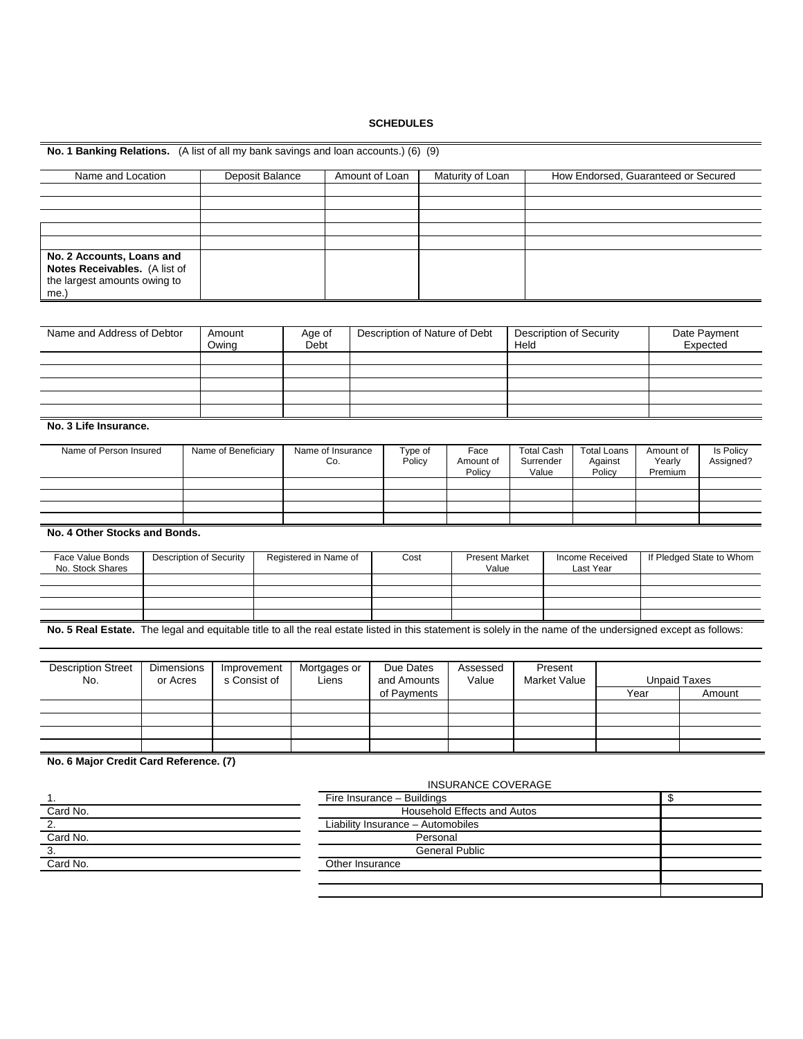## **SCHEDULES**

| No. 1 Banking Relations. (A list of all my bank savings and loan accounts.) (6) (9)                                                                          |  |                                                              |                       |                       |                          |                                         |                                |                                      |                             |                                                                           |                                     |                                |                             |                          |        |  |
|--------------------------------------------------------------------------------------------------------------------------------------------------------------|--|--------------------------------------------------------------|-----------------------|-----------------------|--------------------------|-----------------------------------------|--------------------------------|--------------------------------------|-----------------------------|---------------------------------------------------------------------------|-------------------------------------|--------------------------------|-----------------------------|--------------------------|--------|--|
| Name and Location                                                                                                                                            |  |                                                              | Deposit Balance       |                       |                          | Amount of Loan                          |                                |                                      | Maturity of Loan            |                                                                           | How Endorsed, Guaranteed or Secured |                                |                             |                          |        |  |
|                                                                                                                                                              |  |                                                              |                       |                       |                          |                                         |                                |                                      |                             |                                                                           |                                     |                                |                             |                          |        |  |
| No. 2 Accounts, Loans and<br>Notes Receivables. (A list of<br>the largest amounts owing to<br>me.)                                                           |  |                                                              |                       |                       |                          |                                         |                                |                                      |                             |                                                                           |                                     |                                |                             |                          |        |  |
| Name and Address of Debtor                                                                                                                                   |  | Amount<br>Owing                                              |                       | Age of<br>Debt        |                          |                                         |                                | Description of Nature of Debt        |                             | <b>Description of Security</b><br>Held                                    |                                     |                                |                             | Date Payment<br>Expected |        |  |
|                                                                                                                                                              |  |                                                              |                       |                       |                          |                                         |                                |                                      |                             |                                                                           |                                     |                                |                             |                          |        |  |
| No. 3 Life Insurance.                                                                                                                                        |  |                                                              |                       |                       |                          |                                         |                                |                                      |                             |                                                                           |                                     |                                |                             |                          |        |  |
| Name of Person Insured                                                                                                                                       |  | Name of Beneficiary                                          |                       |                       | Name of Insurance<br>Co. |                                         | Type of<br>Policy              | Face<br>Amount of<br>Policy<br>Value |                             | <b>Total Cash</b><br><b>Total Loans</b><br>Against<br>Surrender<br>Policy |                                     | Amount of<br>Yearly<br>Premium |                             | Is Policy<br>Assigned?   |        |  |
|                                                                                                                                                              |  |                                                              |                       |                       |                          |                                         |                                |                                      |                             |                                                                           |                                     |                                |                             |                          |        |  |
| No. 4 Other Stocks and Bonds.                                                                                                                                |  |                                                              |                       |                       |                          |                                         |                                |                                      |                             |                                                                           |                                     |                                |                             |                          |        |  |
| Face Value Bonds<br><b>Description of Security</b><br>No. Stock Shares                                                                                       |  |                                                              | Registered in Name of |                       |                          | Cost                                    | <b>Present Market</b><br>Value | Income Received<br>Last Year         |                             |                                                                           | If Pledged State to Whom            |                                |                             |                          |        |  |
|                                                                                                                                                              |  |                                                              |                       |                       |                          |                                         |                                |                                      |                             |                                                                           |                                     |                                |                             |                          |        |  |
| No. 5 Real Estate. The legal and equitable title to all the real estate listed in this statement is solely in the name of the undersigned except as follows: |  |                                                              |                       |                       |                          |                                         |                                |                                      |                             |                                                                           |                                     |                                |                             |                          |        |  |
| <b>Description Street</b><br>No.                                                                                                                             |  | Improvement<br><b>Dimensions</b><br>s Consist of<br>or Acres |                       | Mortgages or<br>Liens |                          | Due Dates<br>and Amounts<br>of Payments |                                | Assessed<br>Value                    |                             |                                                                           | Present<br>Market Value             |                                | <b>Unpaid Taxes</b><br>Year |                          | Amount |  |
|                                                                                                                                                              |  |                                                              |                       |                       |                          |                                         |                                |                                      |                             |                                                                           |                                     |                                |                             |                          |        |  |
| No. 6 Major Credit Card Reference. (7)                                                                                                                       |  |                                                              |                       |                       |                          |                                         |                                |                                      |                             |                                                                           |                                     |                                |                             |                          |        |  |
| 1.                                                                                                                                                           |  |                                                              |                       |                       |                          |                                         |                                | Fire Insurance - Buildings           | <b>INSURANCE COVERAGE</b>   |                                                                           |                                     |                                |                             | \$                       |        |  |
| Card No.                                                                                                                                                     |  |                                                              |                       |                       |                          |                                         |                                |                                      | Household Effects and Autos |                                                                           |                                     |                                |                             |                          |        |  |

| . .      | <b>HIGHTOUIGHTOU</b><br>punun iyo | - 14 |
|----------|-----------------------------------|------|
| Card No. | Household Effects and Autos       |      |
| ۷.       | Liability Insurance - Automobiles |      |
| Card No. | Personal                          |      |
| J.       | <b>General Public</b>             |      |
| Card No. | Other Insurance                   |      |
|          |                                   |      |
|          |                                   |      |